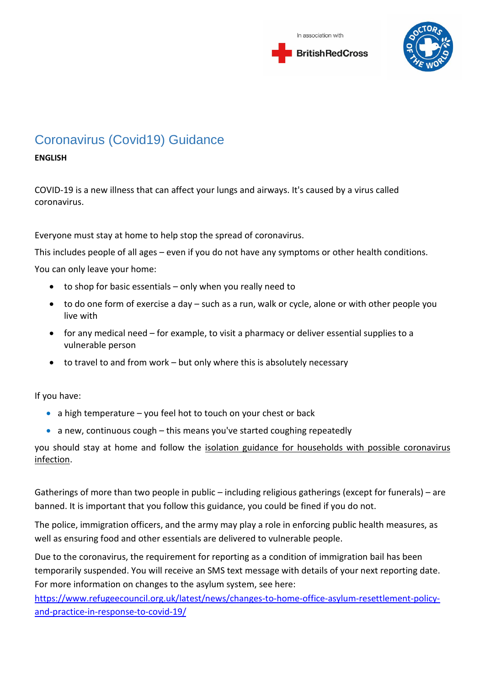



# Coronavirus (Covid19) Guidance

#### **ENGLISH**

COVID-19 is a new illness that can affect your lungs and airways. It's caused by a virus called coronavirus.

Everyone must stay at home to help stop the spread of coronavirus.

This includes people of all ages – even if you do not have any symptoms or other health conditions.

You can only leave your home:

- to shop for basic essentials only when you really need to
- to do one form of exercise a day such as a run, walk or cycle, alone or with other people you live with
- for any medical need for example, to visit a pharmacy or deliver essential supplies to a vulnerable person
- to travel to and from work but only where this is absolutely necessary

If you have:

- a high temperature you feel hot to touch on your chest or back
- a new, continuous cough this means you've started coughing repeatedly

you should stay at home and follow the isolation guidance for households with possible coronavirus infection.

Gatherings of more than two people in public – including religious gatherings (except for funerals) – are banned. It is important that you follow this guidance, you could be fined if you do not.

The police, immigration officers, and the army may play a role in enforcing public health measures, as well as ensuring food and other essentials are delivered to vulnerable people.

Due to the coronavirus, the requirement for reporting as a condition of immigration bail has been temporarily suspended. You will receive an SMS text message with details of your next reporting date. For more information on changes to the asylum system, see here:

[https://www.refugeecouncil.org.uk/latest/news/changes-to-home-office-asylum-resettlement-policy](https://www.refugeecouncil.org.uk/latest/news/changes-to-home-office-asylum-resettlement-policy-and-practice-in-response-to-covid-19/)[and-practice-in-response-to-covid-19/](https://www.refugeecouncil.org.uk/latest/news/changes-to-home-office-asylum-resettlement-policy-and-practice-in-response-to-covid-19/)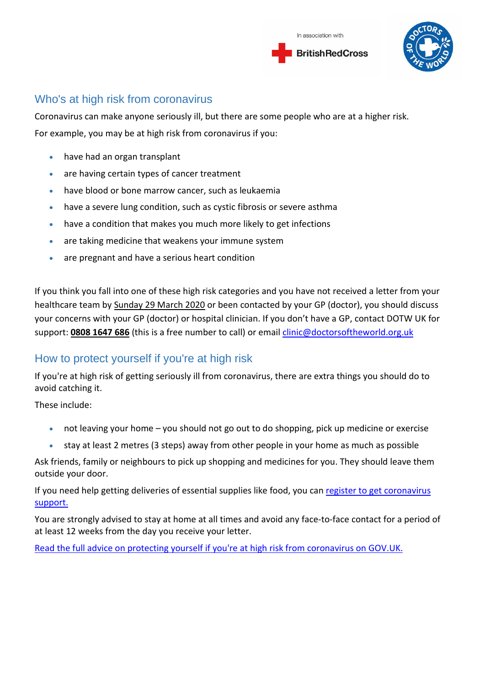



### Who's at high risk from coronavirus

Coronavirus can make anyone seriously ill, but there are some people who are at a higher risk. For example, you may be at high risk from coronavirus if you:

- have had an organ transplant
- are having certain types of cancer treatment
- have blood or bone marrow cancer, such as leukaemia
- have a severe lung condition, such as cystic fibrosis or severe asthma
- have a condition that makes you much more likely to get infections
- are taking medicine that weakens your immune system
- are pregnant and have a serious heart condition

If you think you fall into one of these high risk categories and you have not received a letter from your healthcare team by Sunday 29 March 2020 or been contacted by your GP (doctor), you should discuss your concerns with your GP (doctor) or hospital clinician. If you don't have a GP, contact DOTW UK for support: **[0808](tel://+4408081647686/) 1647 686** (this is a free number to call) or email [clinic@doctorsoftheworld.org.uk](mailto:clinic@doctorsoftheworld.org.uk)

#### How to protect yourself if you're at high risk

If you're at high risk of getting seriously ill from coronavirus, there are extra things you should do to avoid catching it.

These include:

- not leaving your home you should not go out to do shopping, pick up medicine or exercise
- stay at least 2 metres (3 steps) away from other people in your home as much as possible

Ask friends, family or neighbours to pick up shopping and medicines for you. They should leave them outside your door.

If you need help getting deliveries of essential supplies like food, you can [register to get coronavirus](https://www.gov.uk/coronavirus-extremely-vulnerable)  [support.](https://www.gov.uk/coronavirus-extremely-vulnerable)

You are strongly advised to stay at home at all times and avoid any face-to-face contact for a period of at least 12 weeks from the day you receive your letter.

Read the full advice [on protecting yourself if you're at high risk from coronavirus on GOV.UK.](https://www.gov.uk/government/publications/guidance-on-shielding-and-protecting-extremely-vulnerable-persons-from-covid-19/guidance-on-shielding-and-protecting-extremely-vulnerable-persons-from-covid-19)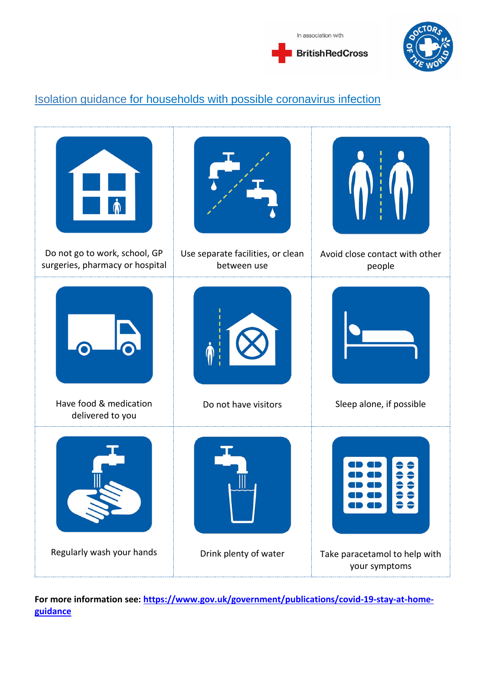



# Isolation guidance for households with possible coronavirus infection



**For more information see: [https://www.gov.uk/government/publications/covid-19-stay-at-home](https://www.gov.uk/government/publications/covid-19-stay-at-home-guidance)[guidance](https://www.gov.uk/government/publications/covid-19-stay-at-home-guidance)**